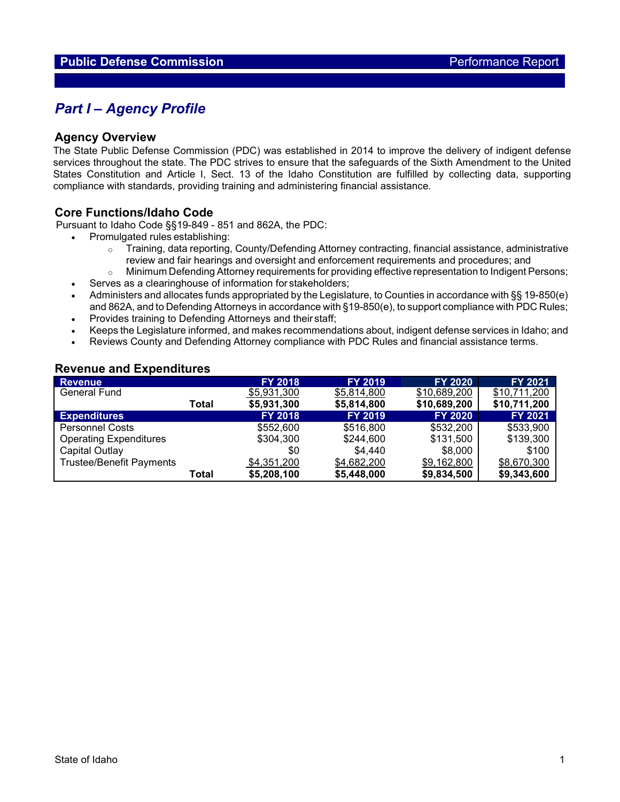# *Part I – Agency Profile*

#### **Agency Overview**

The State Public Defense Commission (PDC) was established in 2014 to improve the delivery of indigent defense services throughout the state. The PDC strives to ensure that the safeguards of the Sixth Amendment to the United States Constitution and Article I, Sect. 13 of the Idaho Constitution are fulfilled by collecting data, supporting compliance with standards, providing training and administering financial assistance.

#### **Core Functions/Idaho Code**

Pursuant to Idaho Code §§19-849 - 851 and 862A, the PDC:

- Promulgated rules establishing:
	- o Training, data reporting, County/Defending Attorney contracting, financial assistance, administrative review and fair hearings and oversight and enforcement requirements and procedures; and
	- o Minimum Defending Attorney requirements for providing effective representation to Indigent Persons;
	- Serves as a clearinghouse of information for stakeholders;
	- Administers and allocates funds appropriated by the Legislature, to Counties in accordance with §§ 19-850(e) and 862A, and to Defending Attorneys in accordance with §19-850(e), to support compliance with PDC Rules;
	- Provides training to Defending Attorneys and their staff;
	- Keeps the Legislature informed, and makes recommendations about, indigent defense services in Idaho; and
	- Reviews County and Defending Attorney compliance with PDC Rules and financial assistance terms.

#### **Revenue and Expenditures**

| <b>Revenue</b>                |       | <b>FY 2018</b> | <b>FY 2019</b> | <b>FY 2020</b> | <b>FY 2021</b> |
|-------------------------------|-------|----------------|----------------|----------------|----------------|
| <b>General Fund</b>           |       | \$5,931,300    | \$5,814,800    | \$10,689,200   | \$10,711,200   |
|                               | Total | \$5,931,300    | \$5,814,800    | \$10,689,200   | \$10,711,200   |
| <b>Expenditures</b>           |       | <b>FY 2018</b> | <b>FY 2019</b> | <b>FY 2020</b> | <b>FY 2021</b> |
| <b>Personnel Costs</b>        |       | \$552,600      | \$516,800      | \$532,200      | \$533,900      |
| <b>Operating Expenditures</b> |       | \$304.300      | \$244,600      | \$131,500      | \$139,300      |
| Capital Outlay                |       | \$0            | \$4.440        | \$8,000        | \$100          |
| Trustee/Benefit Payments      |       | \$4,351,200    | \$4,682,200    | \$9,162,800    | \$8,670,300    |
|                               | Total | \$5,208,100    | \$5,448,000    | \$9,834,500    | \$9,343,600    |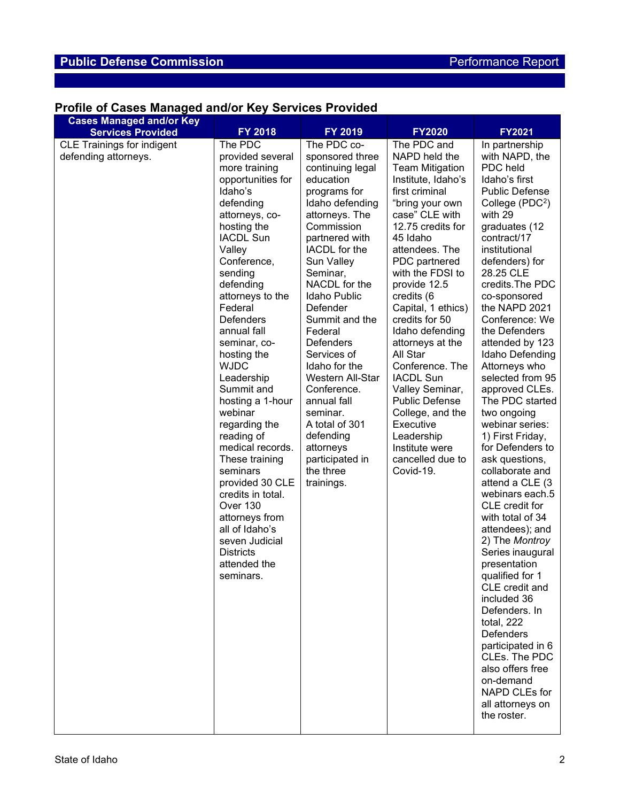#### **Profile of Cases Managed and/or Key Services Provided**

| <b>Cases Managed and/or Key</b>                           |                                                                                                                                                                                                                                                                                                                                                                                                                                                                                                                                                                                                                        |                                                                                                                                                                                                                                                                                                                                                                                                                                                                                              |                                                                                                                                                                                                                                                                                                                                                                                                                                                                                                                                           |                                                                                                                                                                                                                                                                                                                                                                                                                                                                                                                                                                                                                                                                                                                                                                                                                                                                                                                         |
|-----------------------------------------------------------|------------------------------------------------------------------------------------------------------------------------------------------------------------------------------------------------------------------------------------------------------------------------------------------------------------------------------------------------------------------------------------------------------------------------------------------------------------------------------------------------------------------------------------------------------------------------------------------------------------------------|----------------------------------------------------------------------------------------------------------------------------------------------------------------------------------------------------------------------------------------------------------------------------------------------------------------------------------------------------------------------------------------------------------------------------------------------------------------------------------------------|-------------------------------------------------------------------------------------------------------------------------------------------------------------------------------------------------------------------------------------------------------------------------------------------------------------------------------------------------------------------------------------------------------------------------------------------------------------------------------------------------------------------------------------------|-------------------------------------------------------------------------------------------------------------------------------------------------------------------------------------------------------------------------------------------------------------------------------------------------------------------------------------------------------------------------------------------------------------------------------------------------------------------------------------------------------------------------------------------------------------------------------------------------------------------------------------------------------------------------------------------------------------------------------------------------------------------------------------------------------------------------------------------------------------------------------------------------------------------------|
| <b>Services Provided</b>                                  | FY 2018                                                                                                                                                                                                                                                                                                                                                                                                                                                                                                                                                                                                                | FY 2019                                                                                                                                                                                                                                                                                                                                                                                                                                                                                      | <b>FY2020</b>                                                                                                                                                                                                                                                                                                                                                                                                                                                                                                                             | <b>FY2021</b>                                                                                                                                                                                                                                                                                                                                                                                                                                                                                                                                                                                                                                                                                                                                                                                                                                                                                                           |
| <b>CLE Trainings for indigent</b><br>defending attorneys. | The PDC<br>provided several<br>more training<br>opportunities for<br>Idaho's<br>defending<br>attorneys, co-<br>hosting the<br><b>IACDL Sun</b><br>Valley<br>Conference,<br>sending<br>defending<br>attorneys to the<br>Federal<br><b>Defenders</b><br>annual fall<br>seminar, co-<br>hosting the<br><b>WJDC</b><br>Leadership<br>Summit and<br>hosting a 1-hour<br>webinar<br>regarding the<br>reading of<br>medical records.<br>These training<br>seminars<br>provided 30 CLE<br>credits in total.<br>Over 130<br>attorneys from<br>all of Idaho's<br>seven Judicial<br><b>Districts</b><br>attended the<br>seminars. | The PDC co-<br>sponsored three<br>continuing legal<br>education<br>programs for<br>Idaho defending<br>attorneys. The<br>Commission<br>partnered with<br>IACDL for the<br><b>Sun Valley</b><br>Seminar,<br>NACDL for the<br>Idaho Public<br>Defender<br>Summit and the<br>Federal<br><b>Defenders</b><br>Services of<br>Idaho for the<br>Western All-Star<br>Conference.<br>annual fall<br>seminar.<br>A total of 301<br>defending<br>attorneys<br>participated in<br>the three<br>trainings. | The PDC and<br>NAPD held the<br><b>Team Mitigation</b><br>Institute, Idaho's<br>first criminal<br>"bring your own<br>case" CLE with<br>12.75 credits for<br>45 Idaho<br>attendees. The<br>PDC partnered<br>with the FDSI to<br>provide 12.5<br>credits (6<br>Capital, 1 ethics)<br>credits for 50<br>Idaho defending<br>attorneys at the<br>All Star<br>Conference. The<br><b>IACDL Sun</b><br>Valley Seminar,<br><b>Public Defense</b><br>College, and the<br>Executive<br>Leadership<br>Institute were<br>cancelled due to<br>Covid-19. | In partnership<br>with NAPD, the<br>PDC held<br>Idaho's first<br><b>Public Defense</b><br>College (PDC <sup>2</sup> )<br>with 29<br>graduates (12<br>contract/17<br>institutional<br>defenders) for<br>28.25 CLE<br>credits. The PDC<br>co-sponsored<br>the NAPD 2021<br>Conference: We<br>the Defenders<br>attended by 123<br>Idaho Defending<br>Attorneys who<br>selected from 95<br>approved CLEs.<br>The PDC started<br>two ongoing<br>webinar series:<br>1) First Friday,<br>for Defenders to<br>ask questions,<br>collaborate and<br>attend a CLE (3<br>webinars each.5<br>CLE credit for<br>with total of 34<br>attendees); and<br>2) The Montroy<br>Series inaugural<br>presentation<br>qualified for 1<br>CLE credit and<br>included 36<br>Defenders. In<br>total, 222<br>Defenders<br>participated in 6<br>CLEs. The PDC<br>also offers free<br>on-demand<br>NAPD CLEs for<br>all attorneys on<br>the roster. |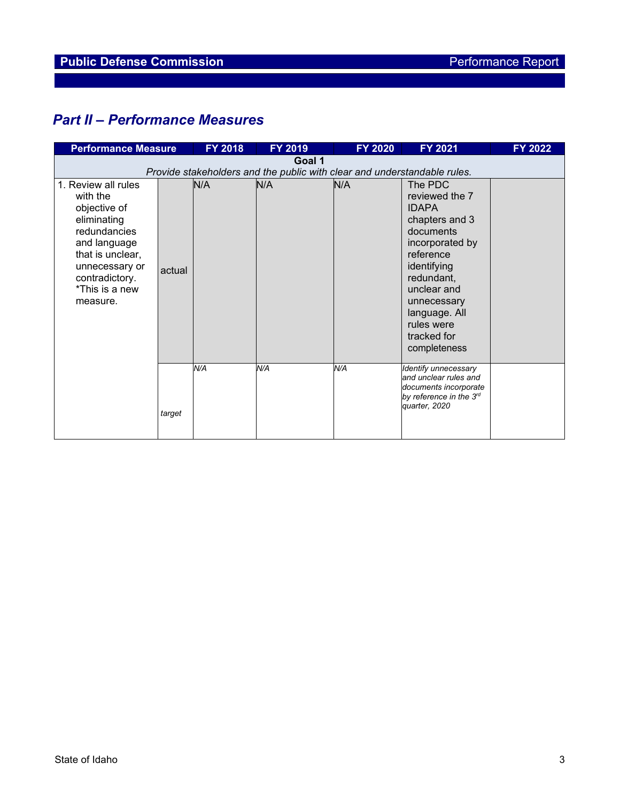# *Part II – Performance Measures*

| <b>Performance Measure</b>                                                                                                                                                           |        | FY 2018 | FY 2019 | FY 2020 | FY 2021                                                                                                                                                                                                                           | FY 2022 |  |  |
|--------------------------------------------------------------------------------------------------------------------------------------------------------------------------------------|--------|---------|---------|---------|-----------------------------------------------------------------------------------------------------------------------------------------------------------------------------------------------------------------------------------|---------|--|--|
| Goal 1<br>Provide stakeholders and the public with clear and understandable rules.                                                                                                   |        |         |         |         |                                                                                                                                                                                                                                   |         |  |  |
| 1. Review all rules<br>with the<br>objective of<br>eliminating<br>redundancies<br>and language<br>that is unclear,<br>unnecessary or<br>contradictory.<br>*This is a new<br>measure. | actual | N/A     | N/A     | N/A     | The PDC<br>reviewed the 7<br><b>IDAPA</b><br>chapters and 3<br>documents<br>incorporated by<br>reference<br>identifying<br>redundant,<br>unclear and<br>unnecessary<br>language. All<br>rules were<br>tracked for<br>completeness |         |  |  |
|                                                                                                                                                                                      | target | N/A     | N/A     | N/A     | Identify unnecessary<br>and unclear rules and<br>documents incorporate<br>by reference in the 3rd<br>quarter, 2020                                                                                                                |         |  |  |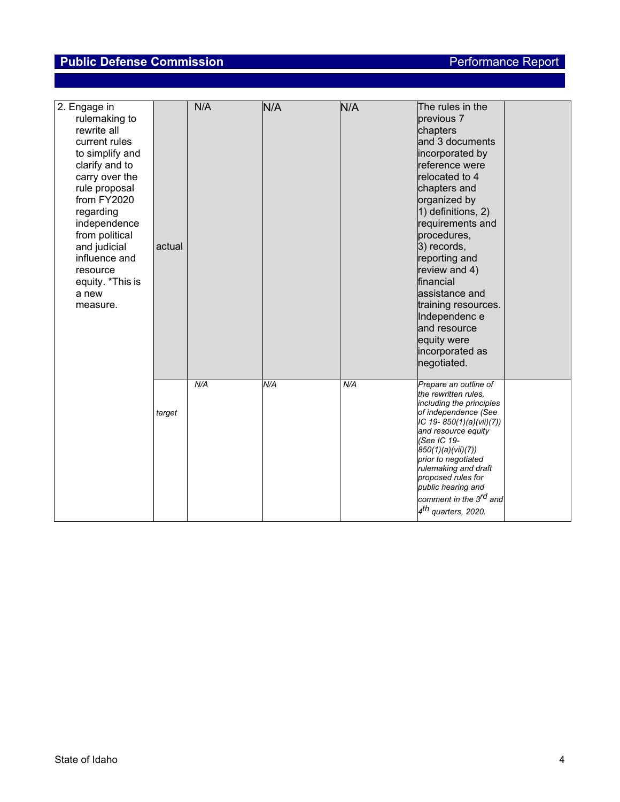| 2. Engage in<br>rulemaking to<br>rewrite all<br>current rules<br>to simplify and<br>clarify and to<br>carry over the<br>rule proposal<br>from FY2020<br>regarding<br>independence<br>from political<br>and judicial<br>influence and<br>resource<br>equity. *This is<br>a new<br>measure. | actual | N/A | N/A | N/A | The rules in the<br>previous 7<br>chapters<br>and 3 documents<br>incorporated by<br>reference were<br>relocated to 4<br>chapters and<br>organized by<br>1) definitions, 2)<br>requirements and<br>procedures,<br>3) records,<br>reporting and<br>review and 4)<br>financial<br>assistance and<br>training resources.<br>Independenc e                         |
|-------------------------------------------------------------------------------------------------------------------------------------------------------------------------------------------------------------------------------------------------------------------------------------------|--------|-----|-----|-----|---------------------------------------------------------------------------------------------------------------------------------------------------------------------------------------------------------------------------------------------------------------------------------------------------------------------------------------------------------------|
|                                                                                                                                                                                                                                                                                           |        |     |     |     | and resource<br>equity were<br>incorporated as<br>negotiated.                                                                                                                                                                                                                                                                                                 |
|                                                                                                                                                                                                                                                                                           | target | N/A | N/A | N/A | Prepare an outline of<br>the rewritten rules.<br>including the principles<br>of independence (See<br>IC 19-850(1)(a)(vii)(7))<br>and resource equity<br>(See IC 19-<br>850(1)(a)(vii)(7))<br>prior to negotiated<br>rulemaking and draft<br>proposed rules for<br>public hearing and<br>comment in the 3 <sup>rd</sup> and<br>4 <sup>th</sup> quarters, 2020. |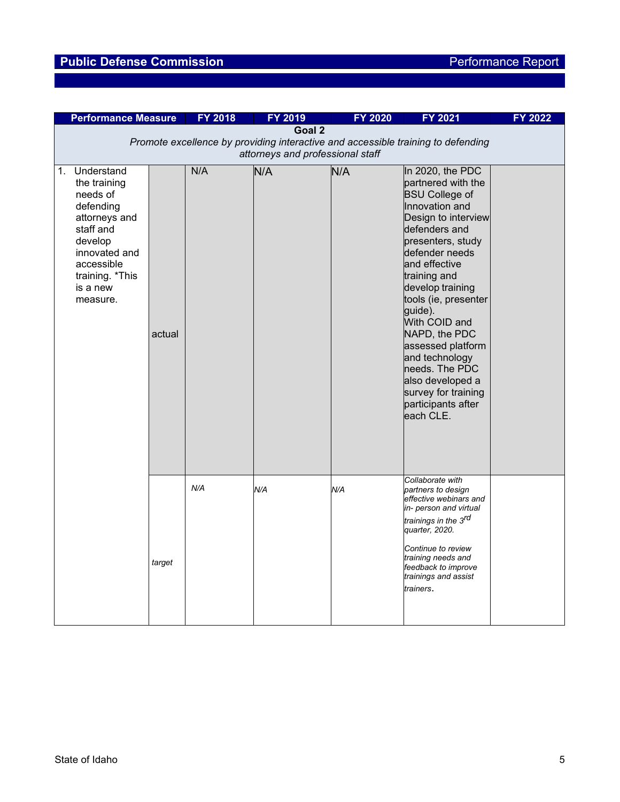| <b>Performance Measure</b>                                                                                                                                                   |        | <b>FY 2018</b> | FY 2019 | <b>FY 2020</b> | <b>FY 2021</b>                                                                                                                                                                                                                                                                                                                                                                                                                    | <b>FY 2022</b> |  |  |  |
|------------------------------------------------------------------------------------------------------------------------------------------------------------------------------|--------|----------------|---------|----------------|-----------------------------------------------------------------------------------------------------------------------------------------------------------------------------------------------------------------------------------------------------------------------------------------------------------------------------------------------------------------------------------------------------------------------------------|----------------|--|--|--|
|                                                                                                                                                                              | Goal 2 |                |         |                |                                                                                                                                                                                                                                                                                                                                                                                                                                   |                |  |  |  |
| Promote excellence by providing interactive and accessible training to defending<br>attorneys and professional staff                                                         |        |                |         |                |                                                                                                                                                                                                                                                                                                                                                                                                                                   |                |  |  |  |
| Understand<br>1.<br>the training<br>needs of<br>defending<br>attorneys and<br>staff and<br>develop<br>innovated and<br>accessible<br>training. *This<br>is a new<br>measure. | actual | N/A            | N/A     | N/A            | In 2020, the PDC<br>partnered with the<br><b>BSU College of</b><br>Innovation and<br>Design to interview<br>defenders and<br>presenters, study<br>defender needs<br>and effective<br>training and<br>develop training<br>tools (ie, presenter<br>guide).<br>With COID and<br>NAPD, the PDC<br>assessed platform<br>and technology<br>heeds. The PDC<br>also developed a<br>survey for training<br>participants after<br>each CLE. |                |  |  |  |
|                                                                                                                                                                              | target | N/A            | N/A     | N/A            | Collaborate with<br>partners to design<br>effective webinars and<br>in- person and virtual<br>trainings in the 3 <sup>rd</sup><br>quarter, 2020.<br>Continue to review<br>training needs and<br>feedback to improve<br>trainings and assist<br>trainers.                                                                                                                                                                          |                |  |  |  |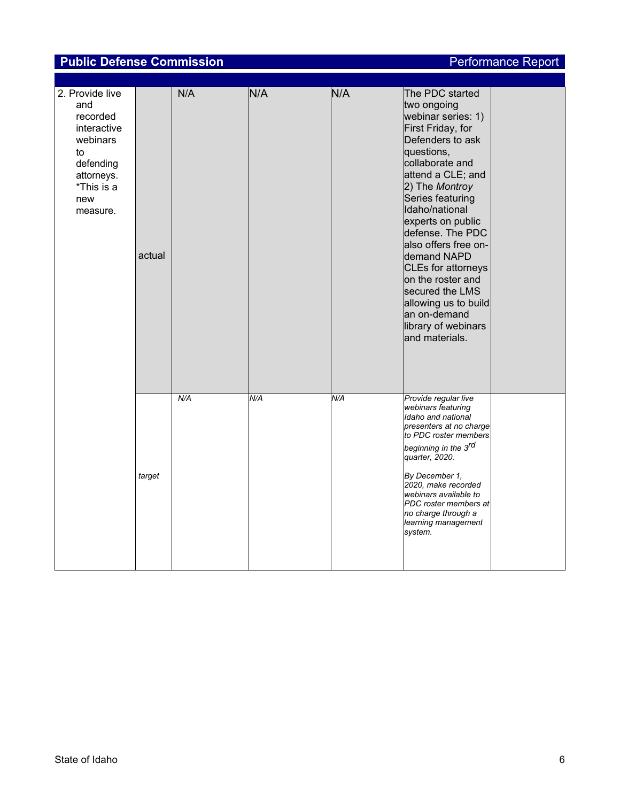| 2. Provide live<br>and<br>recorded<br>interactive<br>webinars<br>to<br>defending<br>attorneys.<br>*This is a<br>new<br>measure. |        | N/A | N/A | N/A | The PDC started<br>two ongoing<br>webinar series: 1)<br>First Friday, for<br>Defenders to ask<br>questions,<br>collaborate and<br>attend a CLE; and<br>2) The Montroy<br>Series featuring                                                                                                                                      |  |
|---------------------------------------------------------------------------------------------------------------------------------|--------|-----|-----|-----|--------------------------------------------------------------------------------------------------------------------------------------------------------------------------------------------------------------------------------------------------------------------------------------------------------------------------------|--|
|                                                                                                                                 | actual |     |     |     | Idaho/national<br>experts on public<br>defense. The PDC<br>also offers free on-<br>demand NAPD<br><b>CLEs for attorneys</b><br>on the roster and<br>secured the LMS<br>allowing us to build<br>an on-demand<br>library of webinars<br>and materials.                                                                           |  |
|                                                                                                                                 | target | N/A | N/A | N/A | Provide regular live<br>webinars featuring<br>Idaho and national<br>presenters at no charge<br>to PDC roster members<br>beginning in the 3 <sup>rd</sup><br>quarter, 2020.<br>By December 1,<br>2020, make recorded<br>webinars available to<br>PDC roster members at<br>no charge through a<br>learning management<br>system. |  |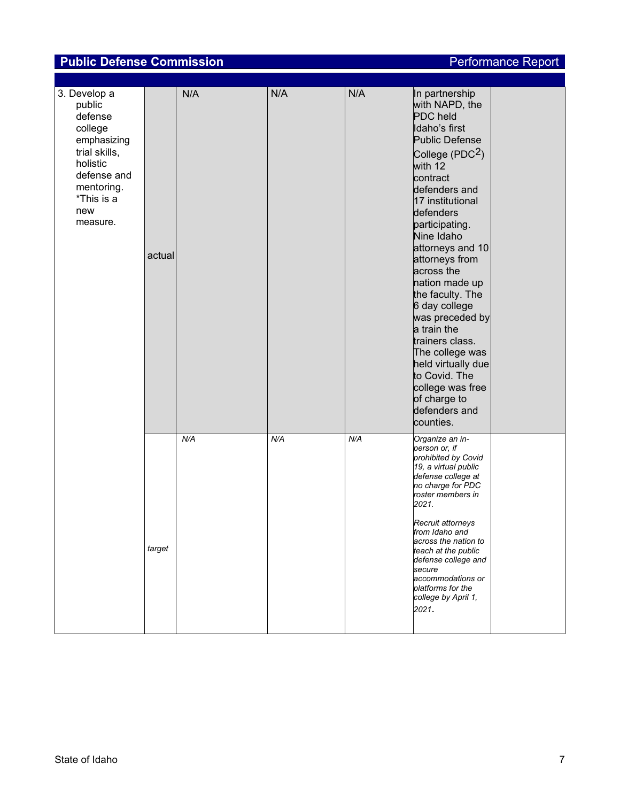| 3. Develop a<br>public<br>defense<br>college<br>emphasizing<br>trial skills,<br>holistic<br>defense and<br>mentoring.<br>*This is a<br>new<br>measure. |        | N/A | N/A | N/A | In partnership<br>with NAPD, the<br>PDC held<br>Idaho's first<br>Public Defense<br>College (PDC $^2$ )<br>with 12<br>contract<br>defenders and                                                                                                                                                                                                            |  |
|--------------------------------------------------------------------------------------------------------------------------------------------------------|--------|-----|-----|-----|-----------------------------------------------------------------------------------------------------------------------------------------------------------------------------------------------------------------------------------------------------------------------------------------------------------------------------------------------------------|--|
|                                                                                                                                                        | actual |     |     |     | 17 institutional<br>defenders<br>participating.<br>Nine Idaho<br>attorneys and 10<br>attorneys from<br>across the<br>nation made up<br>the faculty. The<br>6 day college<br>was preceded by<br>a train the<br>trainers class.<br>The college was<br>held virtually due<br>to Covid. The<br>college was free<br>of charge to<br>defenders and<br>counties. |  |
|                                                                                                                                                        | target | N/A | N/A | N/A | Organize an in-<br>person or, if<br>prohibited by Covid<br>19, a virtual public<br>defense college at<br>no charge for PDC<br>roster members in<br>2021.<br>Recruit attorneys<br>from Idaho and<br>across the nation to<br>teach at the public<br>defense college and<br>secure<br>accommodations or<br>platforms for the<br>college by April 1,<br>2021. |  |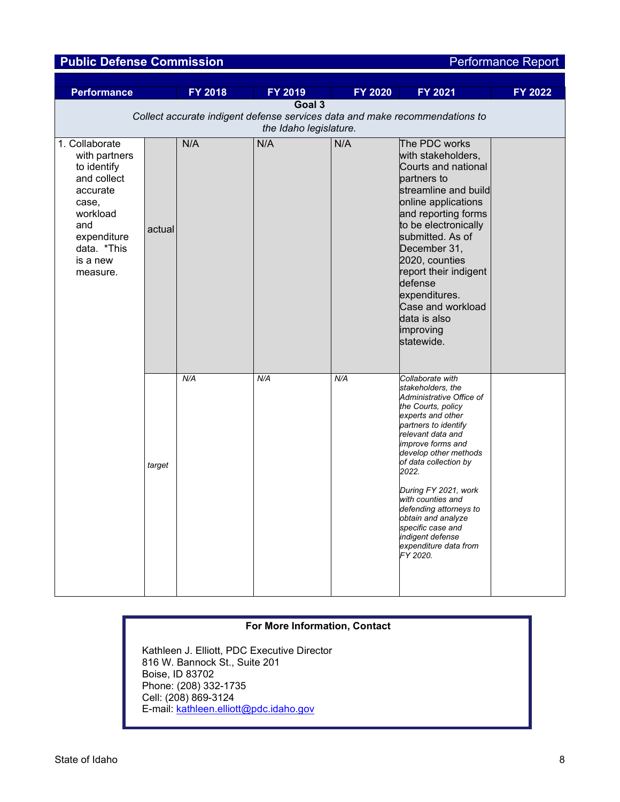| <b>Performance</b>                                                                                                                                          |        | <b>FY 2018</b> | FY 2019 | <b>FY 2020</b> | FY 2021                                                                                                                                                                                                                                                                                                                                                                                                              | FY 2022 |  |  |  |
|-------------------------------------------------------------------------------------------------------------------------------------------------------------|--------|----------------|---------|----------------|----------------------------------------------------------------------------------------------------------------------------------------------------------------------------------------------------------------------------------------------------------------------------------------------------------------------------------------------------------------------------------------------------------------------|---------|--|--|--|
|                                                                                                                                                             |        |                | Goal 3  |                |                                                                                                                                                                                                                                                                                                                                                                                                                      |         |  |  |  |
| Collect accurate indigent defense services data and make recommendations to<br>the Idaho legislature.                                                       |        |                |         |                |                                                                                                                                                                                                                                                                                                                                                                                                                      |         |  |  |  |
| 1. Collaborate<br>with partners<br>to identify<br>and collect<br>accurate<br>case,<br>workload<br>and<br>expenditure<br>data. *This<br>is a new<br>measure. | actual | N/A            | N/A     | N/A            | The PDC works<br>with stakeholders,<br>Courts and national<br>partners to<br>streamline and build<br>online applications<br>and reporting forms<br>to be electronically<br>submitted. As of<br>December 31,<br>2020, counties<br>report their indigent<br>defense<br>expenditures.<br>Case and workload<br>data is also<br>improving<br>statewide.                                                                   |         |  |  |  |
|                                                                                                                                                             | target | N/A            | N/A     | N/A            | Collaborate with<br>stakeholders, the<br>Administrative Office of<br>the Courts, policy<br>experts and other<br>partners to identify<br>relevant data and<br>improve forms and<br>develop other methods<br>of data collection by<br>2022.<br>During FY 2021, work<br>with counties and<br>defending attorneys to<br>obtain and analyze<br>specific case and<br>indigent defense<br>expenditure data from<br>FY 2020. |         |  |  |  |

#### **For More Information, Contact**

Kathleen J. Elliott, PDC Executive Director 816 W. Bannock St., Suite 201 Boise, ID 83702 Phone: (208) 332-1735 Cell: (208) 869-3124 E-mail: <u>kathleen.elliott@pdc.idaho.gov</u>